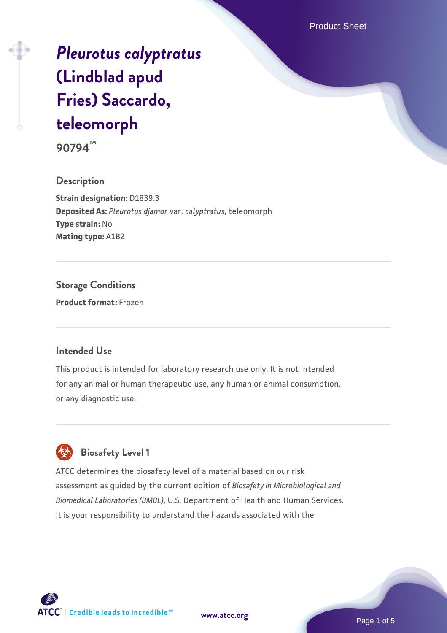Product Sheet

# *[Pleurotus calyptratus](https://www.atcc.org/products/90794)* **[\(Lindblad apud](https://www.atcc.org/products/90794) [Fries\) Saccardo,](https://www.atcc.org/products/90794) [teleomorph](https://www.atcc.org/products/90794)**

**90794™**

**Description Strain designation:** D1839.3 **Deposited As:** *Pleurotus djamor* var. *calyptratus*, teleomorph **Type strain:** No **Mating type:** A1B2

**Storage Conditions Product format:** Frozen

## **Intended Use**

This product is intended for laboratory research use only. It is not intended for any animal or human therapeutic use, any human or animal consumption, or any diagnostic use.



# **Biosafety Level 1**

ATCC determines the biosafety level of a material based on our risk assessment as guided by the current edition of *Biosafety in Microbiological and Biomedical Laboratories (BMBL)*, U.S. Department of Health and Human Services. It is your responsibility to understand the hazards associated with the



**[www.atcc.org](http://www.atcc.org)**

Page 1 of 5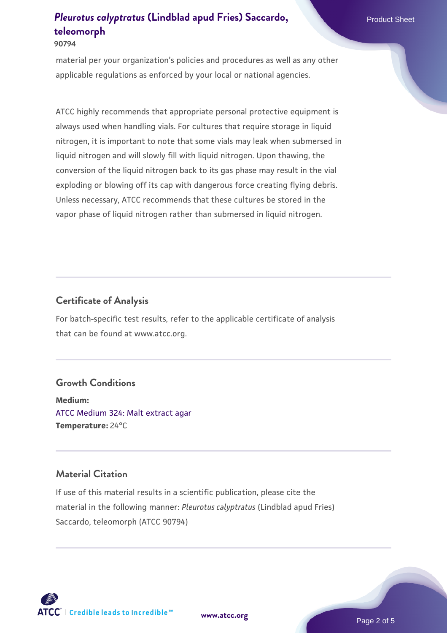#### **90794**

material per your organization's policies and procedures as well as any other applicable regulations as enforced by your local or national agencies.

ATCC highly recommends that appropriate personal protective equipment is always used when handling vials. For cultures that require storage in liquid nitrogen, it is important to note that some vials may leak when submersed in liquid nitrogen and will slowly fill with liquid nitrogen. Upon thawing, the conversion of the liquid nitrogen back to its gas phase may result in the vial exploding or blowing off its cap with dangerous force creating flying debris. Unless necessary, ATCC recommends that these cultures be stored in the vapor phase of liquid nitrogen rather than submersed in liquid nitrogen.

## **Certificate of Analysis**

For batch-specific test results, refer to the applicable certificate of analysis that can be found at www.atcc.org.

### **Growth Conditions**

**Medium:**  [ATCC Medium 324: Malt extract agar](https://www.atcc.org/-/media/product-assets/documents/microbial-media-formulations/3/2/4/atcc-medium-324.pdf?rev=5a8b3f6dcb23452d9462ec38b36f0bb6) **Temperature:** 24°C

# **Material Citation**

If use of this material results in a scientific publication, please cite the material in the following manner: *Pleurotus calyptratus* (Lindblad apud Fries) Saccardo, teleomorph (ATCC 90794)



**[www.atcc.org](http://www.atcc.org)**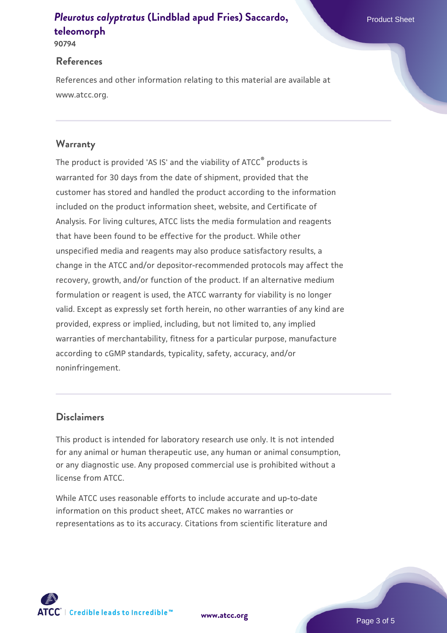#### **90794**

## **References**

References and other information relating to this material are available at www.atcc.org.

# **Warranty**

The product is provided 'AS IS' and the viability of ATCC® products is warranted for 30 days from the date of shipment, provided that the customer has stored and handled the product according to the information included on the product information sheet, website, and Certificate of Analysis. For living cultures, ATCC lists the media formulation and reagents that have been found to be effective for the product. While other unspecified media and reagents may also produce satisfactory results, a change in the ATCC and/or depositor-recommended protocols may affect the recovery, growth, and/or function of the product. If an alternative medium formulation or reagent is used, the ATCC warranty for viability is no longer valid. Except as expressly set forth herein, no other warranties of any kind are provided, express or implied, including, but not limited to, any implied warranties of merchantability, fitness for a particular purpose, manufacture according to cGMP standards, typicality, safety, accuracy, and/or noninfringement.

# **Disclaimers**

This product is intended for laboratory research use only. It is not intended for any animal or human therapeutic use, any human or animal consumption, or any diagnostic use. Any proposed commercial use is prohibited without a license from ATCC.

While ATCC uses reasonable efforts to include accurate and up-to-date information on this product sheet, ATCC makes no warranties or representations as to its accuracy. Citations from scientific literature and

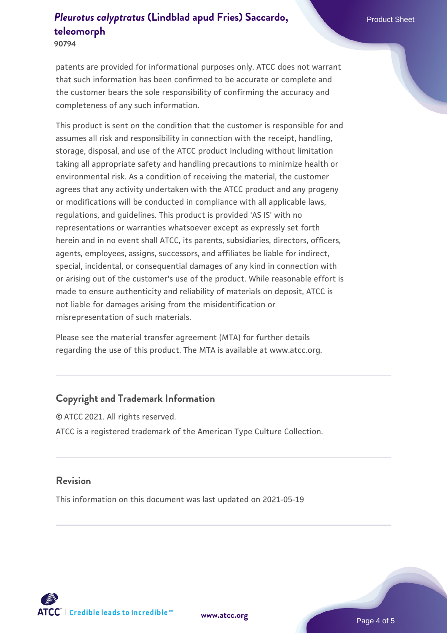**90794**

patents are provided for informational purposes only. ATCC does not warrant that such information has been confirmed to be accurate or complete and the customer bears the sole responsibility of confirming the accuracy and completeness of any such information.

This product is sent on the condition that the customer is responsible for and assumes all risk and responsibility in connection with the receipt, handling, storage, disposal, and use of the ATCC product including without limitation taking all appropriate safety and handling precautions to minimize health or environmental risk. As a condition of receiving the material, the customer agrees that any activity undertaken with the ATCC product and any progeny or modifications will be conducted in compliance with all applicable laws, regulations, and guidelines. This product is provided 'AS IS' with no representations or warranties whatsoever except as expressly set forth herein and in no event shall ATCC, its parents, subsidiaries, directors, officers, agents, employees, assigns, successors, and affiliates be liable for indirect, special, incidental, or consequential damages of any kind in connection with or arising out of the customer's use of the product. While reasonable effort is made to ensure authenticity and reliability of materials on deposit, ATCC is not liable for damages arising from the misidentification or misrepresentation of such materials.

Please see the material transfer agreement (MTA) for further details regarding the use of this product. The MTA is available at www.atcc.org.

# **Copyright and Trademark Information**

© ATCC 2021. All rights reserved. ATCC is a registered trademark of the American Type Culture Collection.

## **Revision**

This information on this document was last updated on 2021-05-19



**[www.atcc.org](http://www.atcc.org)**